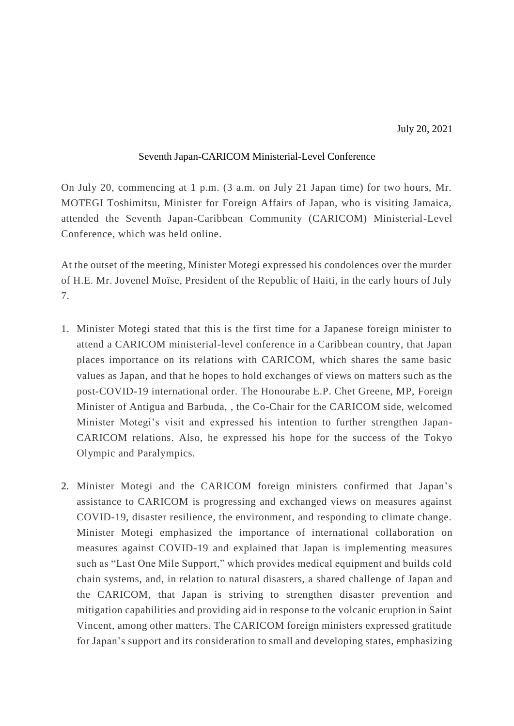## Seventh Japan-CARICOM Ministerial-Level Conference

On July 20, commencing at 1 p.m. (3 a.m. on July 21 Japan time) for two hours, Mr. MOTEGI Toshimitsu, Minister for Foreign Affairs of Japan, who is visiting Jamaica, attended the Seventh Japan-Caribbean Community (CARICOM) Ministerial-Level Conference, which was held online.

At the outset of the meeting, Minister Motegi expressed his condolences over the murder of H.E. Mr. Jovenel Moïse, President of the Republic of Haiti, in the early hours of July 7.

- 1. Minister Motegi stated that this is the first time for a Japanese foreign minister to attend a CARICOM ministerial-level conference in a Caribbean country, that Japan places importance on its relations with CARICOM, which shares the same basic values as Japan, and that he hopes to hold exchanges of views on matters such as the post-COVID-19 international order. The Honourabe E.P. Chet Greene, MP, Foreign Minister of Antigua and Barbuda, , the Co-Chair for the CARICOM side, welcomed Minister Motegi's visit and expressed his intention to further strengthen Japan-CARICOM relations. Also, he expressed his hope for the success of the Tokyo Olympic and Paralympics.
- 2. Minister Motegi and the CARICOM foreign ministers confirmed that Japan's assistance to CARICOM is progressing and exchanged views on measures against COVID-19, disaster resilience, the environment, and responding to climate change. Minister Motegi emphasized the importance of international collaboration on measures against COVID-19 and explained that Japan is implementing measures such as "Last One Mile Support," which provides medical equipment and builds cold chain systems, and, in relation to natural disasters, a shared challenge of Japan and the CARICOM, that Japan is striving to strengthen disaster prevention and mitigation capabilities and providing aid in response to the volcanic eruption in Saint Vincent, among other matters. The CARICOM foreign ministers expressed gratitude for Japan's support and its consideration to small and developing states, emphasizing